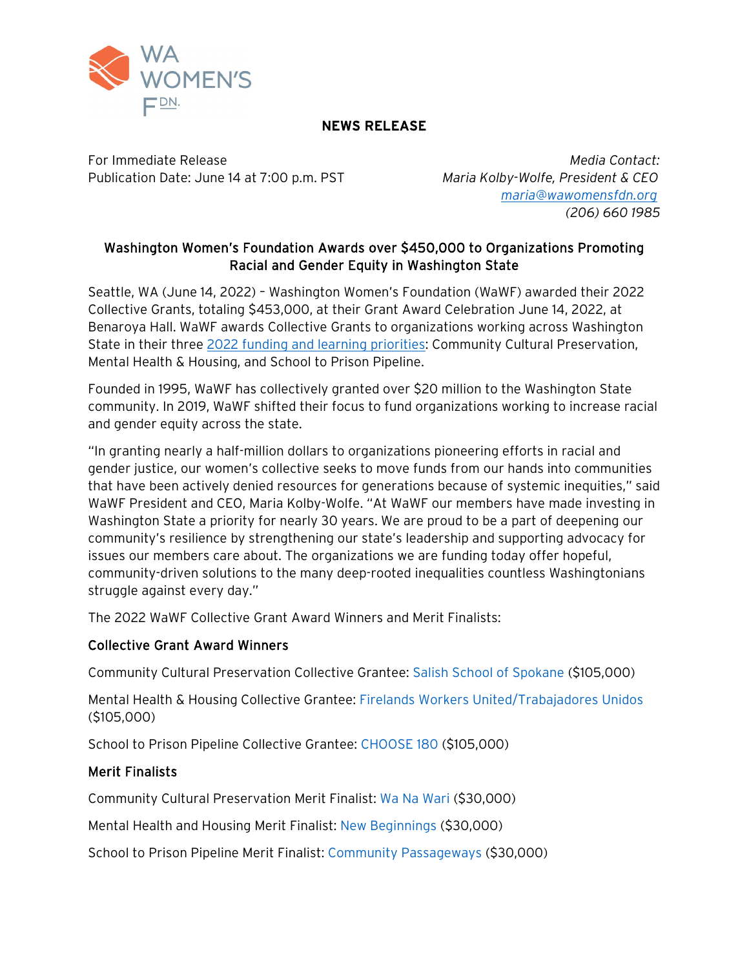

## NEWS RELEASE

For Immediate Release *Media Contact:* Publication Date: June 14 at 7:00 p.m. PST *Maria Kolby-Wolfe, President & CEO*

 *[maria@wawomensfdn.org](mailto:maria@wawomensfdn.org) (206) 660 1985*

# Washington Women's Foundation Awards over \$450,000 to Organizations Promoting Racial and Gender Equity in Washington State

Seattle, WA (June 14, 2022) – Washington Women's Foundation (WaWF) awarded their 2022 Collective Grants, totaling \$453,000, at their Grant Award Celebration June 14, 2022, at Benaroya Hall. WaWF awards Collective Grants to organizations working across Washington State in their three [2022 funding and learning priorities:](https://wawomensfdn.org/2021/10/27/announcing-our-2022-priorities/) Community Cultural Preservation, Mental Health & Housing, and School to Prison Pipeline.

Founded in 1995, WaWF has collectively granted over \$20 million to the Washington State community. In 2019, WaWF shifted their focus to fund organizations working to increase racial and gender equity across the state.

"In granting nearly a half-million dollars to organizations pioneering efforts in racial and gender justice, our women's collective seeks to move funds from our hands into communities that have been actively denied resources for generations because of systemic inequities," said WaWF President and CEO, Maria Kolby-Wolfe. "At WaWF our members have made investing in Washington State a priority for nearly 30 years. We are proud to be a part of deepening our community's resilience by strengthening our state's leadership and supporting advocacy for issues our members care about. The organizations we are funding today offer hopeful, community-driven solutions to the many deep-rooted inequalities countless Washingtonians struggle against every day."

The 2022 WaWF Collective Grant Award Winners and Merit Finalists:

### Collective Grant Award Winners

Community Cultural Preservation Collective Grantee: [Salish School of Spokane](http://salishschoolofspokane.org/) (\$105,000)

Mental Health & Housing Collective Grantee: [Firelands Workers United/Trabajadores Unidos](http://firelandswa.org/) (\$105,000)

School to Prison Pipeline Collective Grantee: [CHOOSE 180](http://choose180.org/) (\$105,000)

### Merit Finalists

Community Cultural Preservation Merit Finalist: [Wa Na Wari](https://www.wanawari.org/) (\$30,000)

Mental Health and Housing Merit Finalist: [New Beginnings](http://www.newbegin.org/) (\$30,000)

School to Prison Pipeline Merit Finalist: [Community Passageways](http://www.communitypassageways.org/) (\$30,000)